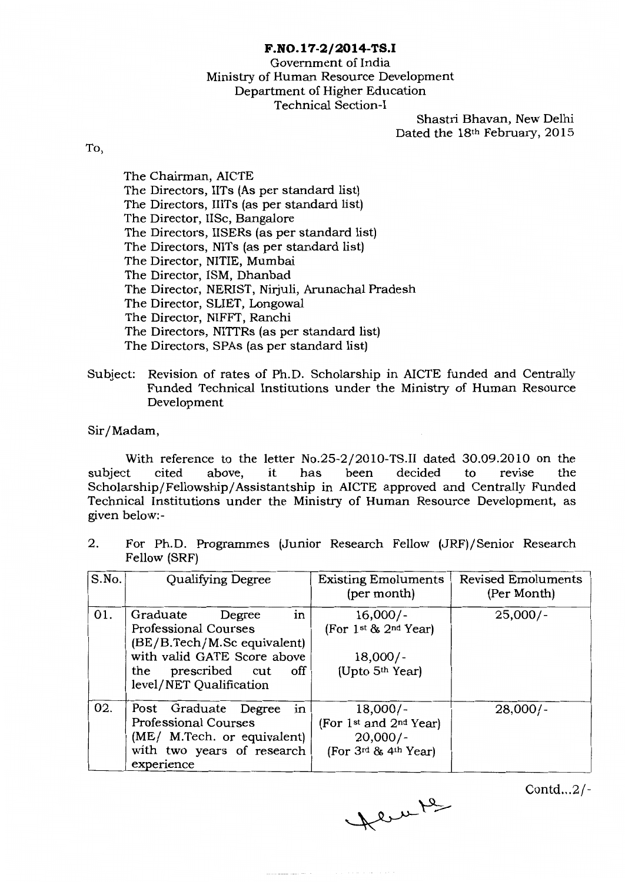## **F.N0.17-2/2014-TS.I**

# Govemment of India Ministry of Human Resource Development Department of Higher Education Technical Section-!

Shastri Bhavan, New Delhi Dated the 18th February, 2015

To,

The Chairman, AICTE The Directors, IITs (As per standard list) The Directors, lilTs (as per standard list) The Director, liSe, Bangalore The Directors, IISERs (as per standard list) The Directors, NITs (as per standard list) The Director, NITIE, Mumbai The Director, ISM, Dhanbad The Director, NERIST, Nirjuli, Arunachal Pradesh The Director, SLIET, Longowal The Director, NIFFT, Ranchi The Directors, NITTRs (as per standard list) The Directors, SPAs (as per standard list)

Subject: Revision of rates of Ph.D. Scholarship in AICTE funded and Centrally Funded Technical Institutions under the Ministry of Human Resource Development

Sir/Madam,

With reference to the letter No.25-2/2010-TS.II dated 30.09.2010 on the test cited above, it has been decided to revise the subject cited above, it has been decided to revise the Scholarship/Fellowship/ Assistantship in AICTE approved and Centrally Funded Technical Institutions under the Ministry of Human Resource Development, as given below:-

2. For Ph.D. Programmes (Junior Research Fellow (JRF)/Senior Research Fellow (SRF)

| S.No. | Qualifying Degree                                                                                                                                                                             | <b>Existing Emoluments</b><br>(per month)                                                             | <b>Revised Emoluments</b><br>(Per Month) |
|-------|-----------------------------------------------------------------------------------------------------------------------------------------------------------------------------------------------|-------------------------------------------------------------------------------------------------------|------------------------------------------|
| 01.   | in <sub>1</sub><br>Graduate<br>Degree<br><b>Professional Courses</b><br>(BE/B.Tech/M.Sc equivalent)<br>with valid GATE Score above<br>prescribed cut<br>off<br>the<br>level/NET Qualification | $16,000/-$<br>$(For 1st 8s 2nd Year)$<br>$18,000/-$<br>(Upto $5th$ Year)                              | $25,000/-$                               |
| 02.   | in<br>Post Graduate Degree<br><b>Professional Courses</b><br>(ME/ M.Tech. or equivalent)<br>with two years of research<br>experience                                                          | $18,000/-$<br>(For 1 <sup>st</sup> and 2 <sup>nd</sup> Year)<br>$20,000/-$<br>$(For 3rd 8s 4th Year)$ | $28,000/-$                               |

Contd...2/-

Heurte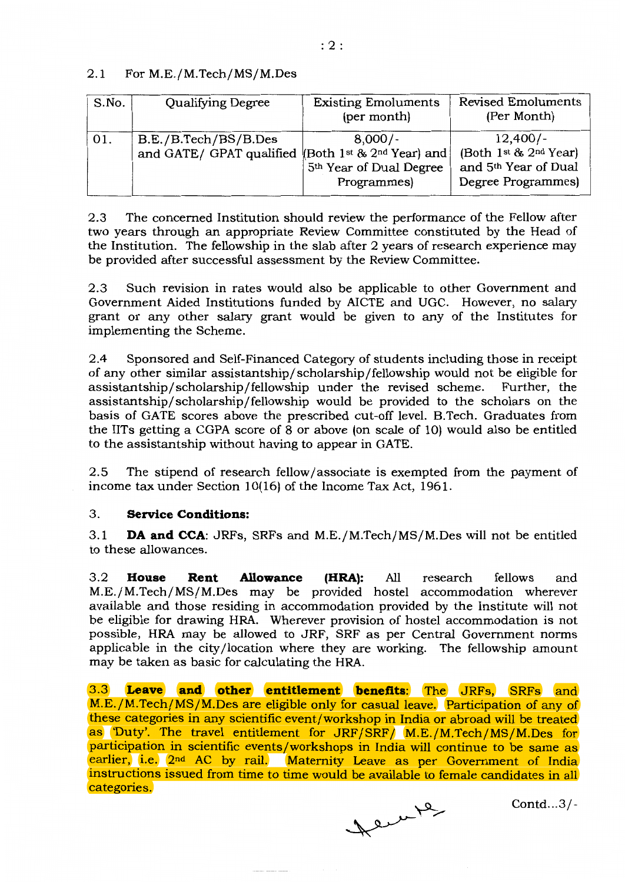## 2.1 For M.E./M.Tech/MS/M.Des

| S.No. | Qualifying Degree                                | <b>Existing Emoluments</b><br>(per month)                                                                                | <b>Revised Emoluments</b><br>(Per Month)                                          |
|-------|--------------------------------------------------|--------------------------------------------------------------------------------------------------------------------------|-----------------------------------------------------------------------------------|
| 01.   | B.E./B.Tech/BS/B.Des<br>and GATE/ GPAT qualified | $8,000/-$<br>(Both 1 <sup>st</sup> $8$ , 2 <sup>nd</sup> Year) and<br>5 <sup>th</sup> Year of Dual Degree<br>Programmes) | $12,400/-$<br>(Both 1st & 2nd Year)<br>and 5th Year of Dual<br>Degree Programmes) |

2.3 The concemed Institution should review the performance of the Fellow after two years through an appropriate Review Committee constituted by the Head of the Institution. The fellowship in the slab after 2 years of research experience may be provided after successful assessment by the Review Committee.

2.3 Such revision in rates would also be applicable to other Government and Government Aided Institutions funded by AICTE and UGC. However, no salary grant or any other salary grant would be given to any of the Institutes for implementing the Scheme.

2.4 Sponsored and Self-Financed Category of students including those in receipt of any other similar assistantship/scholarship/fellowship would not be eligible for assistantship/scholarship/fellowship under the revised scheme. Further, the assistantship/scholarship/fellowship would be provided to the scholars on the basis of GATE scores above the prescribed cut-off level. B.Tech. Graduates from the IITs getting a CGPA score of  $\bar{8}$  or above (on scale of 10) would also be entitled to the assistantship without having to appear in GATE.

2.5 The stipend of research fellow/associate is exempted from the payment of income tax under Section 10(16) of the Income Tax Act, 1961.

### 3. **Service Conditions:**

3.1 **DA and CCA:** JRFs, SRFs and M.E./M.Tech/MS/M.Des will not be entitled to these allowances.

3.2 **House Rent Allowance (HRA):** All research fellows and M.E./M.Tech/MS/M.Des may be provided hostel accommodation wherever available and those residing in accommodation provided by the Institute will not be eligible for drawing HRA. Wherever provision of hostel accommodation is not possible, HRA may be allowed to JRF, SRF as per Central Govemment norms applicable in the city /location where they are working. The fellowship amount may be taken as basic for calculating the HRA.

3.3 **Leave and other entitlement benefits:** The JRFs, SRFs and M.E./M.Tech/MS/M.Des are eligible only for casual leave. Participation of any of these categories in any scientific event/workshop in India or abroad will be treated as 'Duty'. The travel entitlement for JRF/SRF/ M.E./M.Tech/MS/M.Des for participation in scientific events/workshops in India will continue to be same as earlier, i.e. 2<sup>nd</sup> AC by rail. Maternity Leave as per Government of India instructions issued from time to time would be available to female candidates in all categories.

Deren 12

Contd...3/-